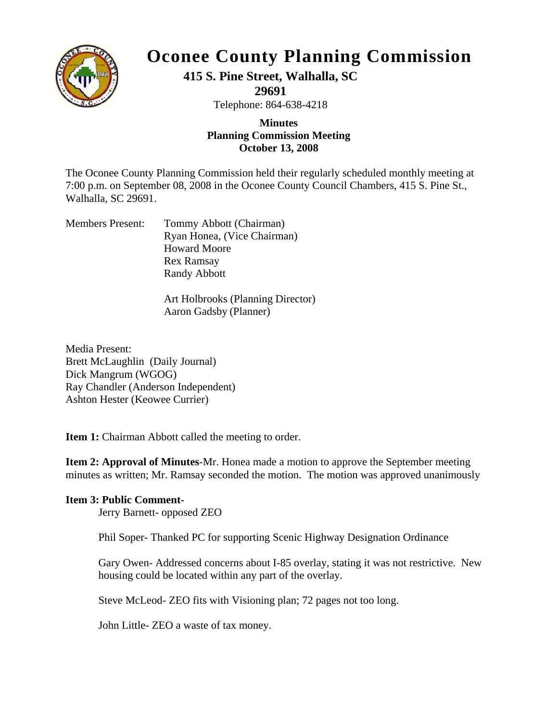

## **Oconee County Planning Commission**

## **415 S. Pine Street, Walhalla, SC**

**29691** 

Telephone: 864-638-4218

## **Planning Commis sion Meeting Minutes October 13, 2008**

7:00 p.m. on September 08, 2008 in the Oconee County Council Chambers, 415 S. Pine St., Walhalla, SC 29691. The Oconee County Planning Commission held their regularly scheduled monthly meeting at

Members Present: Tommy Abbott (Chairman) Ryan Honea, (Vice Chairman) Howard Moore Rex Ramsay Randy Abbott

> Art Holbrooks (Planning Director) Aaron Gadsby (Planner)

Ray Chandler (Anderson Independent) Ashton Hester (Keowee Currier) Media Present: Brett McLaughlin (Daily Journal) Dick Mangrum (WGOG)

**Item 1:** Chairman Abbott called the meeting to order.

minutes as written; Mr. Ramsay seconded the motion. The motion was approved unanimously **Item 2: Approval of Minutes**-Mr. Honea made a motion to approve the September meeting

## **Item 3: Public Comment-**

Jerry Barnett- opposed ZEO

Phil Soper- Thanked PC for supporting Scenic Highway Designation Ordinance

Gary Owen- Addressed concerns about I-85 overlay, stating it was not restrictive. New housing could be located within any part of the overlay.

Steve McLeod- ZEO fits with Visioning plan; 72 pages not too long.

John Little- ZEO a waste of tax money.